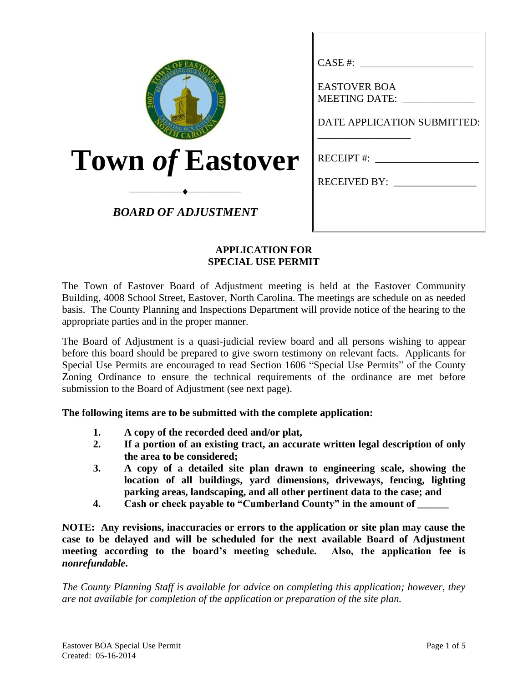| CASE #:<br><b>EASTOVER BOA</b><br><b>MEETING DATE:</b>      |
|-------------------------------------------------------------|
| DATE APPLICATION SUBMITTED:<br>$RECEIPT$ #:<br>RECEIVED BY: |
| ΑΡΡΙ ΙΛΑΤΙΟΝ ΕΟR                                            |
|                                                             |

## **APPLICATION FOR SPECIAL USE PERMIT**

The Town of Eastover Board of Adjustment meeting is held at the Eastover Community Building, 4008 School Street, Eastover, North Carolina. The meetings are schedule on as needed basis. The County Planning and Inspections Department will provide notice of the hearing to the appropriate parties and in the proper manner.

The Board of Adjustment is a quasi-judicial review board and all persons wishing to appear before this board should be prepared to give sworn testimony on relevant facts. Applicants for Special Use Permits are encouraged to read Section 1606 "Special Use Permits" of the County Zoning Ordinance to ensure the technical requirements of the ordinance are met before submission to the Board of Adjustment (see next page).

**The following items are to be submitted with the complete application:**

- **1. A copy of the recorded deed and/or plat,**
- **2. If a portion of an existing tract, an accurate written legal description of only the area to be considered;**
- **3. A copy of a detailed site plan drawn to engineering scale, showing the location of all buildings, yard dimensions, driveways, fencing, lighting parking areas, landscaping, and all other pertinent data to the case; and**
- **4. Cash or check payable to "Cumberland County" in the amount of \_\_\_\_\_\_**

**NOTE: Any revisions, inaccuracies or errors to the application or site plan may cause the case to be delayed and will be scheduled for the next available Board of Adjustment meeting according to the board's meeting schedule. Also, the application fee is**  *nonrefundable***.**

*The County Planning Staff is available for advice on completing this application; however, they are not available for completion of the application or preparation of the site plan.*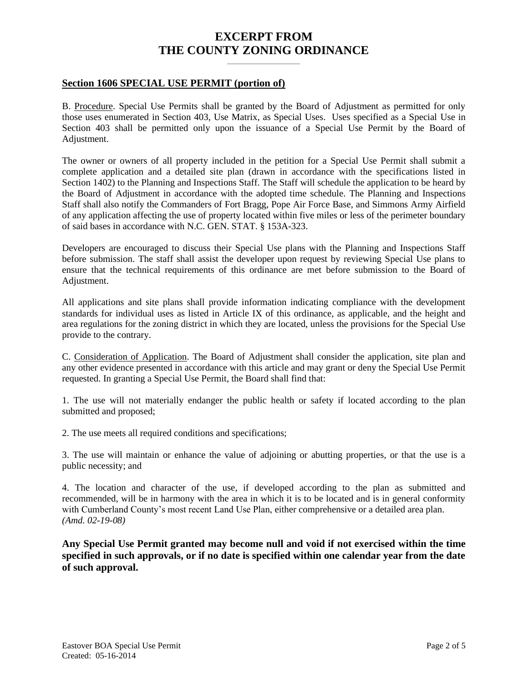# **EXCERPT FROM THE COUNTY ZONING ORDINANCE**

**\_\_\_\_\_\_\_\_\_\_\_\_\_\_\_\_\_\_\_**

#### **Section 1606 SPECIAL USE PERMIT (portion of)**

B. Procedure. Special Use Permits shall be granted by the Board of Adjustment as permitted for only those uses enumerated in Section 403, Use Matrix, as Special Uses. Uses specified as a Special Use in Section 403 shall be permitted only upon the issuance of a Special Use Permit by the Board of Adjustment.

The owner or owners of all property included in the petition for a Special Use Permit shall submit a complete application and a detailed site plan (drawn in accordance with the specifications listed in Section 1402) to the Planning and Inspections Staff. The Staff will schedule the application to be heard by the Board of Adjustment in accordance with the adopted time schedule. The Planning and Inspections Staff shall also notify the Commanders of Fort Bragg, Pope Air Force Base, and Simmons Army Airfield of any application affecting the use of property located within five miles or less of the perimeter boundary of said bases in accordance with N.C. GEN. STAT. § 153A-323.

Developers are encouraged to discuss their Special Use plans with the Planning and Inspections Staff before submission. The staff shall assist the developer upon request by reviewing Special Use plans to ensure that the technical requirements of this ordinance are met before submission to the Board of Adjustment.

All applications and site plans shall provide information indicating compliance with the development standards for individual uses as listed in Article IX of this ordinance, as applicable, and the height and area regulations for the zoning district in which they are located, unless the provisions for the Special Use provide to the contrary.

C. Consideration of Application. The Board of Adjustment shall consider the application, site plan and any other evidence presented in accordance with this article and may grant or deny the Special Use Permit requested. In granting a Special Use Permit, the Board shall find that:

1. The use will not materially endanger the public health or safety if located according to the plan submitted and proposed;

2. The use meets all required conditions and specifications;

3. The use will maintain or enhance the value of adjoining or abutting properties, or that the use is a public necessity; and

4. The location and character of the use, if developed according to the plan as submitted and recommended, will be in harmony with the area in which it is to be located and is in general conformity with Cumberland County's most recent Land Use Plan, either comprehensive or a detailed area plan. *(Amd. 02-19-08)*

**Any Special Use Permit granted may become null and void if not exercised within the time specified in such approvals, or if no date is specified within one calendar year from the date of such approval.**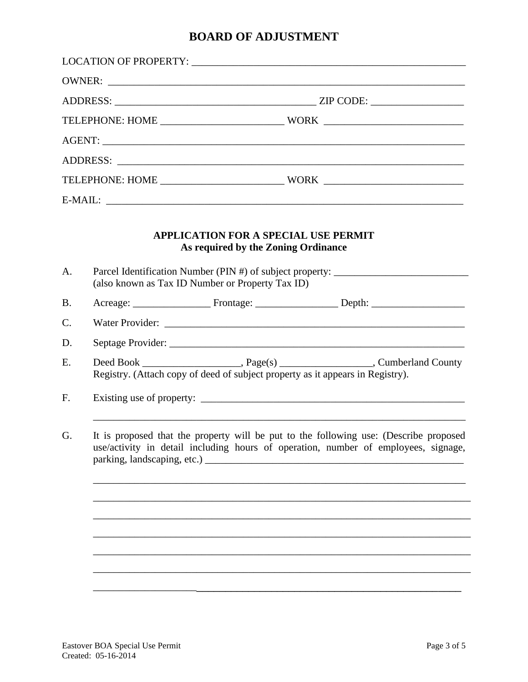# **BOARD OF ADJUSTMENT**

|           | OWNER:                                                                                                                                                                      |
|-----------|-----------------------------------------------------------------------------------------------------------------------------------------------------------------------------|
|           |                                                                                                                                                                             |
|           |                                                                                                                                                                             |
|           |                                                                                                                                                                             |
|           |                                                                                                                                                                             |
|           |                                                                                                                                                                             |
|           |                                                                                                                                                                             |
|           | <b>APPLICATION FOR A SPECIAL USE PERMIT</b><br>As required by the Zoning Ordinance                                                                                          |
| A.        | Parcel Identification Number (PIN #) of subject property: ______________________<br>(also known as Tax ID Number or Property Tax ID)                                        |
| <b>B.</b> |                                                                                                                                                                             |
| C.        |                                                                                                                                                                             |
| D.        |                                                                                                                                                                             |
| E.        | Deed Book ________________________, Page(s) ______________________, Cumberland County<br>Registry. (Attach copy of deed of subject property as it appears in Registry).     |
| F.        |                                                                                                                                                                             |
| G.        | It is proposed that the property will be put to the following use: (Describe proposed<br>use/activity in detail including hours of operation, number of employees, signage, |
|           |                                                                                                                                                                             |
|           |                                                                                                                                                                             |
|           |                                                                                                                                                                             |
|           |                                                                                                                                                                             |
|           |                                                                                                                                                                             |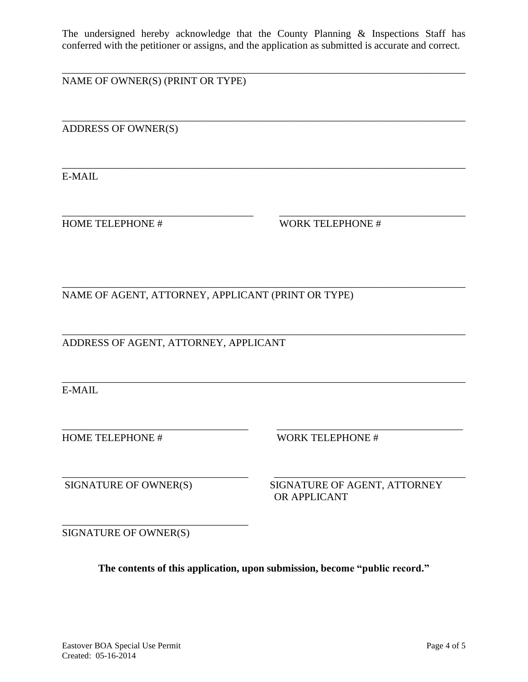The undersigned hereby acknowledge that the County Planning & Inspections Staff has conferred with the petitioner or assigns, and the application as submitted is accurate and correct.

\_\_\_\_\_\_\_\_\_\_\_\_\_\_\_\_\_\_\_\_\_\_\_\_\_\_\_\_\_\_\_\_\_\_\_\_\_\_\_\_\_\_\_\_\_\_\_\_\_\_\_\_\_\_\_\_\_\_\_\_\_\_\_\_\_\_\_\_\_\_\_\_\_\_\_\_\_\_

\_\_\_\_\_\_\_\_\_\_\_\_\_\_\_\_\_\_\_\_\_\_\_\_\_\_\_\_\_\_\_\_\_\_\_\_\_\_\_\_\_\_\_\_\_\_\_\_\_\_\_\_\_\_\_\_\_\_\_\_\_\_\_\_\_\_\_\_\_\_\_\_\_\_\_\_\_\_

\_\_\_\_\_\_\_\_\_\_\_\_\_\_\_\_\_\_\_\_\_\_\_\_\_\_\_\_\_\_\_\_\_\_\_\_\_\_\_\_\_\_\_\_\_\_\_\_\_\_\_\_\_\_\_\_\_\_\_\_\_\_\_\_\_\_\_\_\_\_\_\_\_\_\_\_\_\_

\_\_\_\_\_\_\_\_\_\_\_\_\_\_\_\_\_\_\_\_\_\_\_\_\_\_\_\_\_\_\_\_\_\_\_\_\_ \_\_\_\_\_\_\_\_\_\_\_\_\_\_\_\_\_\_\_\_\_\_\_\_\_\_\_\_\_\_\_\_\_\_\_\_

\_\_\_\_\_\_\_\_\_\_\_\_\_\_\_\_\_\_\_\_\_\_\_\_\_\_\_\_\_\_\_\_\_\_\_\_\_\_\_\_\_\_\_\_\_\_\_\_\_\_\_\_\_\_\_\_\_\_\_\_\_\_\_\_\_\_\_\_\_\_\_\_\_\_\_\_\_\_

\_\_\_\_\_\_\_\_\_\_\_\_\_\_\_\_\_\_\_\_\_\_\_\_\_\_\_\_\_\_\_\_\_\_\_\_\_\_\_\_\_\_\_\_\_\_\_\_\_\_\_\_\_\_\_\_\_\_\_\_\_\_\_\_\_\_\_\_\_\_\_\_\_\_\_\_\_\_

\_\_\_\_\_\_\_\_\_\_\_\_\_\_\_\_\_\_\_\_\_\_\_\_\_\_\_\_\_\_\_\_\_\_\_\_ \_\_\_\_\_\_\_\_\_\_\_\_\_\_\_\_\_\_\_\_\_\_\_\_\_\_\_\_\_\_\_\_\_\_\_\_

\_\_\_\_\_\_\_\_\_\_\_\_\_\_\_\_\_\_\_\_\_\_\_\_\_\_\_\_\_\_\_\_\_\_\_\_ \_\_\_\_\_\_\_\_\_\_\_\_\_\_\_\_\_\_\_\_\_\_\_\_\_\_\_\_\_\_\_\_\_\_\_\_\_

NAME OF OWNER(S) (PRINT OR TYPE)

ADDRESS OF OWNER(S)

E-MAIL

HOME TELEPHONE # WORK TELEPHONE #

\_\_\_\_\_\_\_\_\_\_\_\_\_\_\_\_\_\_\_\_\_\_\_\_\_\_\_\_\_\_\_\_\_\_\_\_\_\_\_\_\_\_\_\_\_\_\_\_\_\_\_\_\_\_\_\_\_\_\_\_\_\_\_\_\_\_\_\_\_\_\_\_\_\_\_\_\_\_ NAME OF AGENT, ATTORNEY, APPLICANT (PRINT OR TYPE)

ADDRESS OF AGENT, ATTORNEY, APPLICANT

E-MAIL

HOME TELEPHONE # WORK TELEPHONE #

SIGNATURE OF OWNER(S) SIGNATURE OF AGENT, ATTORNEY OR APPLICANT

SIGNATURE OF OWNER(S)

\_\_\_\_\_\_\_\_\_\_\_\_\_\_\_\_\_\_\_\_\_\_\_\_\_\_\_\_\_\_\_\_\_\_\_\_

**The contents of this application, upon submission, become "public record."**